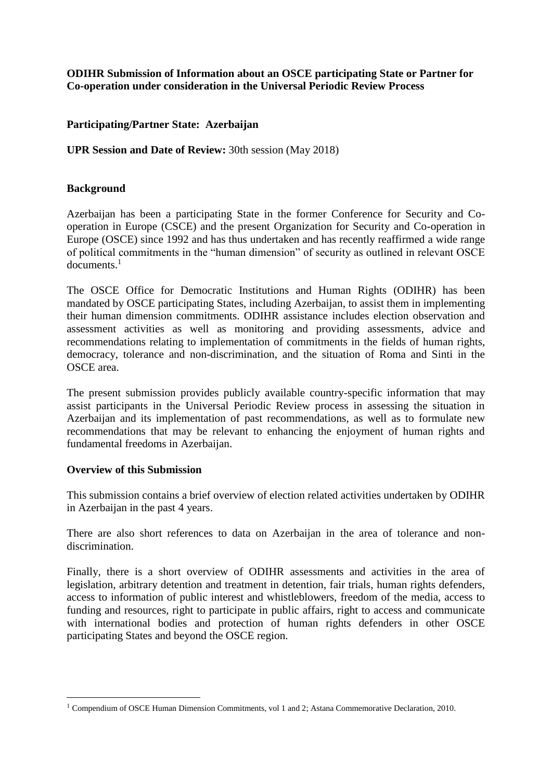## **ODIHR Submission of Information about an OSCE participating State or Partner for Co-operation under consideration in the Universal Periodic Review Process**

## **Participating/Partner State: Azerbaijan**

### **UPR Session and Date of Review:** 30th session (May 2018)

### **Background**

Azerbaijan has been a participating State in the former Conference for Security and Cooperation in Europe (CSCE) and the present Organization for Security and Co-operation in Europe (OSCE) since 1992 and has thus undertaken and has recently reaffirmed a wide range of political commitments in the "human dimension" of security as outlined in relevant OSCE documents. 1

The OSCE Office for Democratic Institutions and Human Rights (ODIHR) has been mandated by OSCE participating States, including Azerbaijan, to assist them in implementing their human dimension commitments. ODIHR assistance includes election observation and assessment activities as well as monitoring and providing assessments, advice and recommendations relating to implementation of commitments in the fields of human rights, democracy, tolerance and non-discrimination, and the situation of Roma and Sinti in the OSCE area.

The present submission provides publicly available country-specific information that may assist participants in the Universal Periodic Review process in assessing the situation in Azerbaijan and its implementation of past recommendations, as well as to formulate new recommendations that may be relevant to enhancing the enjoyment of human rights and fundamental freedoms in Azerbaijan.

### **Overview of this Submission**

<u>.</u>

This submission contains a brief overview of election related activities undertaken by ODIHR in Azerbaijan in the past 4 years.

There are also short references to data on Azerbaijan in the area of tolerance and nondiscrimination.

Finally, there is a short overview of ODIHR assessments and activities in the area of legislation, arbitrary detention and treatment in detention, fair trials, human rights defenders, access to information of public interest and whistleblowers, freedom of the media, access to funding and resources, right to participate in public affairs, right to access and communicate with international bodies and protection of human rights defenders in other OSCE participating States and beyond the OSCE region.

<sup>1</sup> Compendium of OSCE Human Dimension Commitments, vol 1 and 2; Astana Commemorative Declaration, 2010.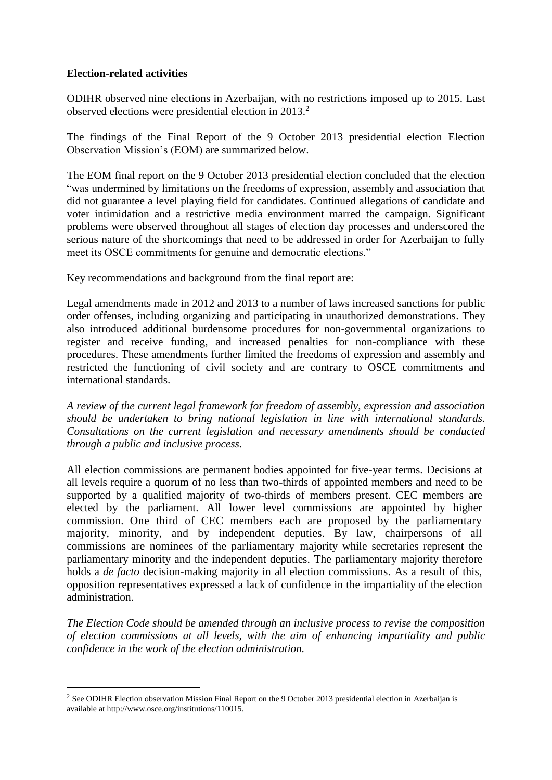## **Election-related activities**

1

ODIHR observed nine elections in Azerbaijan, with no restrictions imposed up to 2015. Last observed elections were presidential election in 2013.<sup>2</sup>

The findings of the Final Report of the 9 October 2013 presidential election Election Observation Mission's (EOM) are summarized below.

The EOM final report on the 9 October 2013 presidential election concluded that the election "was undermined by limitations on the freedoms of expression, assembly and association that did not guarantee a level playing field for candidates. Continued allegations of candidate and voter intimidation and a restrictive media environment marred the campaign. Significant problems were observed throughout all stages of election day processes and underscored the serious nature of the shortcomings that need to be addressed in order for Azerbaijan to fully meet its OSCE commitments for genuine and democratic elections."

## Key recommendations and background from the final report are:

Legal amendments made in 2012 and 2013 to a number of laws increased sanctions for public order offenses, including organizing and participating in unauthorized demonstrations. They also introduced additional burdensome procedures for non-governmental organizations to register and receive funding, and increased penalties for non-compliance with these procedures. These amendments further limited the freedoms of expression and assembly and restricted the functioning of civil society and are contrary to OSCE commitments and international standards.

*A review of the current legal framework for freedom of assembly, expression and association should be undertaken to bring national legislation in line with international standards. Consultations on the current legislation and necessary amendments should be conducted through a public and inclusive process.*

All election commissions are permanent bodies appointed for five-year terms. Decisions at all levels require a quorum of no less than two-thirds of appointed members and need to be supported by a qualified majority of two-thirds of members present. CEC members are elected by the parliament. All lower level commissions are appointed by higher commission. One third of CEC members each are proposed by the parliamentary majority, minority, and by independent deputies. By law, chairpersons of all commissions are nominees of the parliamentary majority while secretaries represent the parliamentary minority and the independent deputies. The parliamentary majority therefore holds a *de facto* decision-making majority in all election commissions. As a result of this, opposition representatives expressed a lack of confidence in the impartiality of the election administration.

*The Election Code should be amended through an inclusive process to revise the composition of election commissions at all levels, with the aim of enhancing impartiality and public confidence in the work of the election administration.*

<sup>&</sup>lt;sup>2</sup> See ODIHR Election observation Mission Final Report on the 9 October 2013 presidential election in Azerbaijan is available at http://www.osce.org/institutions/110015.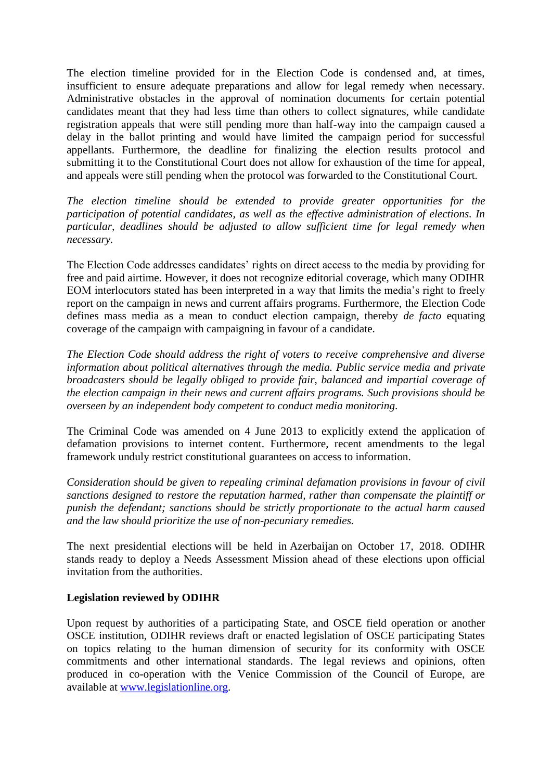The election timeline provided for in the Election Code is condensed and, at times, insufficient to ensure adequate preparations and allow for legal remedy when necessary. Administrative obstacles in the approval of nomination documents for certain potential candidates meant that they had less time than others to collect signatures, while candidate registration appeals that were still pending more than half-way into the campaign caused a delay in the ballot printing and would have limited the campaign period for successful appellants. Furthermore, the deadline for finalizing the election results protocol and submitting it to the Constitutional Court does not allow for exhaustion of the time for appeal, and appeals were still pending when the protocol was forwarded to the Constitutional Court.

*The election timeline should be extended to provide greater opportunities for the participation of potential candidates, as well as the effective administration of elections. In particular, deadlines should be adjusted to allow sufficient time for legal remedy when necessary.*

The Election Code addresses candidates' rights on direct access to the media by providing for free and paid airtime. However, it does not recognize editorial coverage, which many ODIHR EOM interlocutors stated has been interpreted in a way that limits the media's right to freely report on the campaign in news and current affairs programs. Furthermore, the Election Code defines mass media as a mean to conduct election campaign, thereby *de facto* equating coverage of the campaign with campaigning in favour of a candidate.

*The Election Code should address the right of voters to receive comprehensive and diverse information about political alternatives through the media. Public service media and private broadcasters should be legally obliged to provide fair, balanced and impartial coverage of the election campaign in their news and current affairs programs. Such provisions should be overseen by an independent body competent to conduct media monitoring.*

The Criminal Code was amended on 4 June 2013 to explicitly extend the application of defamation provisions to internet content. Furthermore, recent amendments to the legal framework unduly restrict constitutional guarantees on access to information.

*Consideration should be given to repealing criminal defamation provisions in favour of civil sanctions designed to restore the reputation harmed, rather than compensate the plaintiff or punish the defendant; sanctions should be strictly proportionate to the actual harm caused and the law should prioritize the use of non-pecuniary remedies.*

The next presidential elections will be held in [Azerbaijan](https://en.wikipedia.org/wiki/Azerbaijan) on October 17, 2018. ODIHR stands ready to deploy a Needs Assessment Mission ahead of these elections upon official invitation from the authorities.

# **Legislation reviewed by ODIHR**

Upon request by authorities of a participating State, and OSCE field operation or another OSCE institution, ODIHR reviews draft or enacted legislation of OSCE participating States on topics relating to the human dimension of security for its conformity with OSCE commitments and other international standards. The legal reviews and opinions, often produced in co-operation with the Venice Commission of the Council of Europe, are available at [www.legislationline.org.](http://www.legislationline.org/)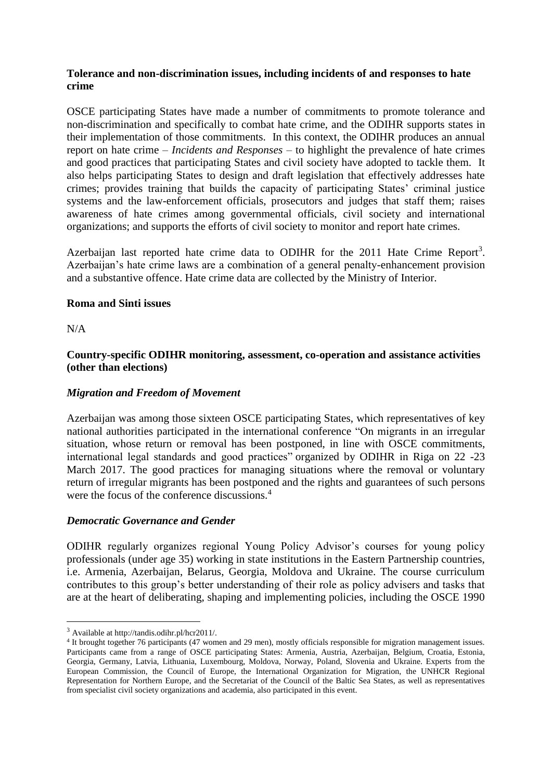## **Tolerance and non-discrimination issues, including incidents of and responses to hate crime**

OSCE participating States have made a number of commitments to promote tolerance and non-discrimination and specifically to combat hate crime, and the ODIHR supports states in their implementation of those commitments. In this context, the ODIHR produces an annual report on hate crime – *Incidents and Responses* – to highlight the prevalence of hate crimes and good practices that participating States and civil society have adopted to tackle them. It also helps participating States to design and draft legislation that effectively addresses hate crimes; provides training that builds the capacity of participating States' criminal justice systems and the law-enforcement officials, prosecutors and judges that staff them; raises awareness of hate crimes among governmental officials, civil society and international organizations; and supports the efforts of civil society to monitor and report hate crimes.

Azerbaijan last reported hate crime data to ODIHR for the 2011 Hate Crime Report<sup>3</sup>. Azerbaijan's hate crime laws are a combination of a general penalty-enhancement provision and a substantive offence. Hate crime data are collected by the Ministry of Interior.

### **Roma and Sinti issues**

N/A

<u>.</u>

## **Country-specific ODIHR monitoring, assessment, co-operation and assistance activities (other than elections)**

# *Migration and Freedom of Movement*

Azerbaijan was among those sixteen OSCE participating States, which representatives of key national authorities participated in the international conference "On migrants in an irregular situation, whose return or removal has been postponed, in line with OSCE commitments, international legal standards and good practices" organized by ODIHR in Riga on 22 -23 March 2017. The good practices for managing situations where the removal or voluntary return of irregular migrants has been postponed and the rights and guarantees of such persons were the focus of the conference discussions.<sup>4</sup>

### *Democratic Governance and Gender*

ODIHR regularly organizes regional Young Policy Advisor's courses for young policy professionals (under age 35) working in state institutions in the Eastern Partnership countries, i.e. Armenia, Azerbaijan, Belarus, Georgia, Moldova and Ukraine. The course curriculum contributes to this group's better understanding of their role as policy advisers and tasks that are at the heart of deliberating, shaping and implementing policies, including the OSCE 1990

<sup>3</sup> Available at http://tandis.odihr.pl/hcr2011/.

<sup>4</sup> It brought together 76 participants (47 women and 29 men), mostly officials responsible for migration management issues. Participants came from a range of OSCE participating States: Armenia, Austria, Azerbaijan, Belgium, Croatia, Estonia, Georgia, Germany, Latvia, Lithuania, Luxembourg, Moldova, Norway, Poland, Slovenia and Ukraine. Experts from the European Commission, the Council of Europe, the International Organization for Migration, the UNHCR Regional Representation for Northern Europe, and the Secretariat of the Council of the Baltic Sea States, as well as representatives from specialist civil society organizations and academia, also participated in this event.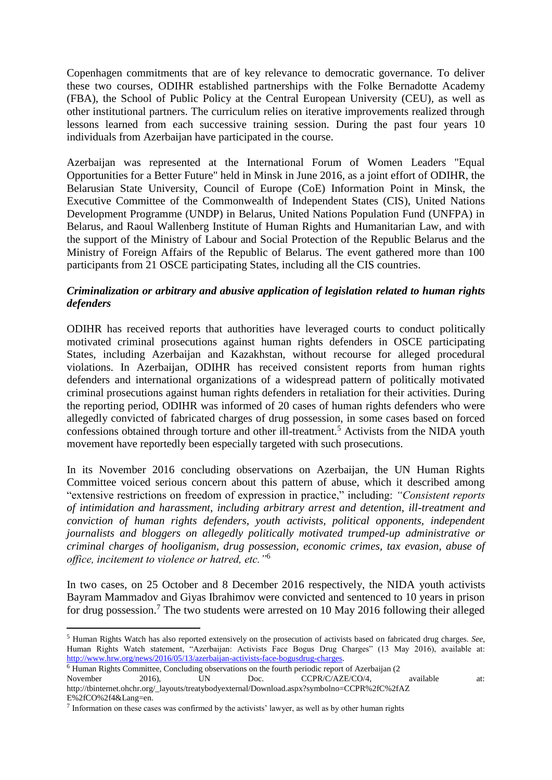Copenhagen commitments that are of key relevance to democratic governance. To deliver these two courses, ODIHR established partnerships with the Folke Bernadotte Academy (FBA), the School of Public Policy at the Central European University (CEU), as well as other institutional partners. The curriculum relies on iterative improvements realized through lessons learned from each successive training session. During the past four years 10 individuals from Azerbaijan have participated in the course.

Azerbaijan was represented at the International Forum of Women Leaders "Equal Opportunities for a Better Future" held in Minsk in June 2016, as a joint effort of ODIHR, the Belarusian State University, Council of Europe (CoE) Information Point in Minsk, the Executive Committee of the Commonwealth of Independent States (CIS), United Nations Development Programme (UNDP) in Belarus, United Nations Population Fund (UNFPA) in Belarus, and Raoul Wallenberg Institute of Human Rights and Humanitarian Law, and with the support of the Ministry of Labour and Social Protection of the Republic Belarus and the Ministry of Foreign Affairs of the Republic of Belarus. The event gathered more than 100 participants from 21 OSCE participating States, including all the CIS countries.

## *Criminalization or arbitrary and abusive application of legislation related to human rights defenders*

ODIHR has received reports that authorities have leveraged courts to conduct politically motivated criminal prosecutions against human rights defenders in OSCE participating States, including Azerbaijan and Kazakhstan, without recourse for alleged procedural violations. In Azerbaijan, ODIHR has received consistent reports from human rights defenders and international organizations of a widespread pattern of politically motivated criminal prosecutions against human rights defenders in retaliation for their activities. During the reporting period, ODIHR was informed of 20 cases of human rights defenders who were allegedly convicted of fabricated charges of drug possession, in some cases based on forced confessions obtained through torture and other ill-treatment.<sup>5</sup> Activists from the NIDA youth movement have reportedly been especially targeted with such prosecutions.

In its November 2016 concluding observations on Azerbaijan, the UN Human Rights Committee voiced serious concern about this pattern of abuse, which it described among "extensive restrictions on freedom of expression in practice," including: *"Consistent reports of intimidation and harassment, including arbitrary arrest and detention, ill-treatment and conviction of human rights defenders, youth activists, political opponents, independent journalists and bloggers on allegedly politically motivated trumped-up administrative or criminal charges of hooliganism, drug possession, economic crimes, tax evasion, abuse of office, incitement to violence or hatred, etc."*<sup>6</sup>

In two cases, on 25 October and 8 December 2016 respectively, the NIDA youth activists Bayram Mammadov and Giyas Ibrahimov were convicted and sentenced to 10 years in prison for drug possession.<sup>7</sup> The two students were arrested on 10 May 2016 following their alleged

<sup>6</sup> Human Rights Committee, Concluding observations on the fourth periodic report of Azerbaijan (2

1

<sup>5</sup> Human Rights Watch has also reported extensively on the prosecution of activists based on fabricated drug charges. *See*, Human Rights Watch statement, "Azerbaijan: Activists Face Bogus Drug Charges" (13 May 2016), available at: [http://www.hrw.org/news/2016/05/13/azerbaijan-activists-face-bogusdrug-charges.](http://www.hrw.org/news/2016/05/13/azerbaijan-activists-face-bogusdrug-charges)

November 2016), UN Doc. CCPR/C/AZE/CO/4, available at: http://tbinternet.ohchr.org/\_layouts/treatybodyexternal/Download.aspx?symbolno=CCPR%2fC%2fAZ E%2fCO%2f4&Lang=en.

 $<sup>7</sup>$  Information on these cases was confirmed by the activists' lawyer, as well as by other human rights</sup>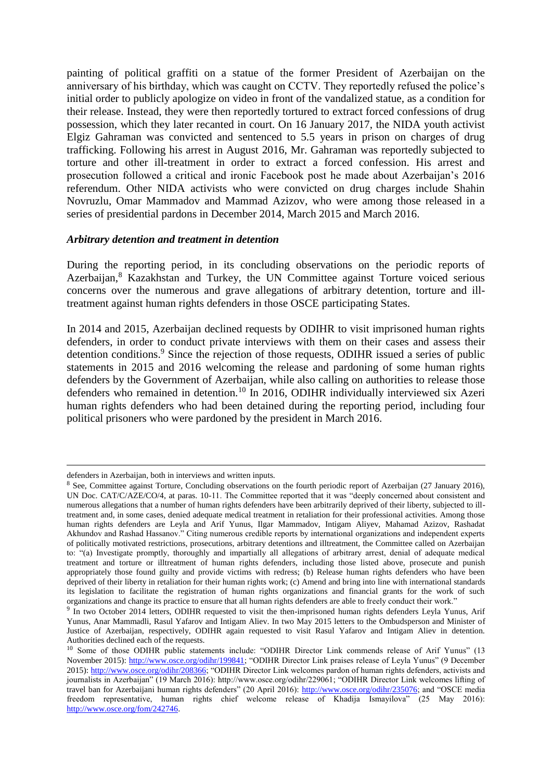painting of political graffiti on a statue of the former President of Azerbaijan on the anniversary of his birthday, which was caught on CCTV. They reportedly refused the police's initial order to publicly apologize on video in front of the vandalized statue, as a condition for their release. Instead, they were then reportedly tortured to extract forced confessions of drug possession, which they later recanted in court. On 16 January 2017, the NIDA youth activist Elgiz Gahraman was convicted and sentenced to 5.5 years in prison on charges of drug trafficking. Following his arrest in August 2016, Mr. Gahraman was reportedly subjected to torture and other ill-treatment in order to extract a forced confession. His arrest and prosecution followed a critical and ironic Facebook post he made about Azerbaijan's 2016 referendum. Other NIDA activists who were convicted on drug charges include Shahin Novruzlu, Omar Mammadov and Mammad Azizov, who were among those released in a series of presidential pardons in December 2014, March 2015 and March 2016.

#### *Arbitrary detention and treatment in detention*

During the reporting period, in its concluding observations on the periodic reports of Azerbaijan,<sup>8</sup> Kazakhstan and Turkey, the UN Committee against Torture voiced serious concerns over the numerous and grave allegations of arbitrary detention, torture and illtreatment against human rights defenders in those OSCE participating States.

In 2014 and 2015, Azerbaijan declined requests by ODIHR to visit imprisoned human rights defenders, in order to conduct private interviews with them on their cases and assess their detention conditions.<sup>9</sup> Since the rejection of those requests, ODIHR issued a series of public statements in 2015 and 2016 welcoming the release and pardoning of some human rights defenders by the Government of Azerbaijan, while also calling on authorities to release those defenders who remained in detention.<sup>10</sup> In 2016, ODIHR individually interviewed six Azeri human rights defenders who had been detained during the reporting period, including four political prisoners who were pardoned by the president in March 2016.

<u>.</u>

defenders in Azerbaijan, both in interviews and written inputs.

<sup>&</sup>lt;sup>8</sup> See, Committee against Torture, Concluding observations on the fourth periodic report of Azerbaijan (27 January 2016), UN Doc. CAT/C/AZE/CO/4, at paras. 10-11. The Committee reported that it was "deeply concerned about consistent and numerous allegations that a number of human rights defenders have been arbitrarily deprived of their liberty, subjected to illtreatment and, in some cases, denied adequate medical treatment in retaliation for their professional activities. Among those human rights defenders are Leyla and Arif Yunus, Ilgar Mammadov, Intigam Aliyev, Mahamad Azizov, Rashadat Akhundov and Rashad Hassanov." Citing numerous credible reports by international organizations and independent experts of politically motivated restrictions, prosecutions, arbitrary detentions and illtreatment, the Committee called on Azerbaijan to: "(a) Investigate promptly, thoroughly and impartially all allegations of arbitrary arrest, denial of adequate medical treatment and torture or illtreatment of human rights defenders, including those listed above, prosecute and punish appropriately those found guilty and provide victims with redress; (b) Release human rights defenders who have been deprived of their liberty in retaliation for their human rights work; (c) Amend and bring into line with international standards its legislation to facilitate the registration of human rights organizations and financial grants for the work of such organizations and change its practice to ensure that all human rights defenders are able to freely conduct their work."

<sup>&</sup>lt;sup>9</sup> In two October 2014 letters, ODIHR requested to visit the then-imprisoned human rights defenders Leyla Yunus, Arif Yunus, Anar Mammadli, Rasul Yafarov and Intigam Aliev. In two May 2015 letters to the Ombudsperson and Minister of Justice of Azerbaijan, respectively, ODIHR again requested to visit Rasul Yafarov and Intigam Aliev in detention. Authorities declined each of the requests.

<sup>&</sup>lt;sup>10</sup> Some of those ODIHR public statements include: "ODIHR Director Link commends release of Arif Yunus" (13 November 2015): [http://www.osce.org/odihr/199841;](http://www.osce.org/odihr/199841) "ODIHR Director Link praises release of Leyla Yunus" (9 December 2015): [http://www.osce.org/odihr/208366;](http://www.osce.org/odihr/208366) "ODIHR Director Link welcomes pardon of human rights defenders, activists and journalists in Azerbaijan" (19 March 2016): http://www.osce.org/odihr/229061; "ODIHR Director Link welcomes lifting of travel ban for Azerbaijani human rights defenders" (20 April 2016): [http://www.osce.org/odihr/235076;](http://www.osce.org/odihr/235076) and "OSCE media freedom representative, human rights chief welcome release of Khadija Ismayilova" (25 May 2016): [http://www.osce.org/fom/242746.](http://www.osce.org/fom/242746)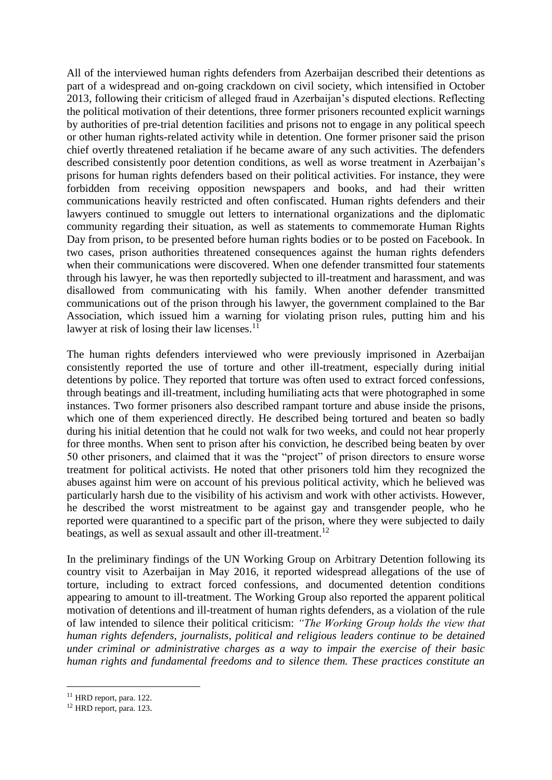All of the interviewed human rights defenders from Azerbaijan described their detentions as part of a widespread and on-going crackdown on civil society, which intensified in October 2013, following their criticism of alleged fraud in Azerbaijan's disputed elections. Reflecting the political motivation of their detentions, three former prisoners recounted explicit warnings by authorities of pre-trial detention facilities and prisons not to engage in any political speech or other human rights-related activity while in detention. One former prisoner said the prison chief overtly threatened retaliation if he became aware of any such activities. The defenders described consistently poor detention conditions, as well as worse treatment in Azerbaijan's prisons for human rights defenders based on their political activities. For instance, they were forbidden from receiving opposition newspapers and books, and had their written communications heavily restricted and often confiscated. Human rights defenders and their lawyers continued to smuggle out letters to international organizations and the diplomatic community regarding their situation, as well as statements to commemorate Human Rights Day from prison, to be presented before human rights bodies or to be posted on Facebook. In two cases, prison authorities threatened consequences against the human rights defenders when their communications were discovered. When one defender transmitted four statements through his lawyer, he was then reportedly subjected to ill-treatment and harassment, and was disallowed from communicating with his family. When another defender transmitted communications out of the prison through his lawyer, the government complained to the Bar Association, which issued him a warning for violating prison rules, putting him and his lawyer at risk of losing their law licenses. $^{11}$ 

The human rights defenders interviewed who were previously imprisoned in Azerbaijan consistently reported the use of torture and other ill-treatment, especially during initial detentions by police. They reported that torture was often used to extract forced confessions, through beatings and ill-treatment, including humiliating acts that were photographed in some instances. Two former prisoners also described rampant torture and abuse inside the prisons, which one of them experienced directly. He described being tortured and beaten so badly during his initial detention that he could not walk for two weeks, and could not hear properly for three months. When sent to prison after his conviction, he described being beaten by over 50 other prisoners, and claimed that it was the "project" of prison directors to ensure worse treatment for political activists. He noted that other prisoners told him they recognized the abuses against him were on account of his previous political activity, which he believed was particularly harsh due to the visibility of his activism and work with other activists. However, he described the worst mistreatment to be against gay and transgender people, who he reported were quarantined to a specific part of the prison, where they were subjected to daily beatings, as well as sexual assault and other ill-treatment.<sup>12</sup>

In the preliminary findings of the UN Working Group on Arbitrary Detention following its country visit to Azerbaijan in May 2016, it reported widespread allegations of the use of torture, including to extract forced confessions, and documented detention conditions appearing to amount to ill-treatment. The Working Group also reported the apparent political motivation of detentions and ill-treatment of human rights defenders, as a violation of the rule of law intended to silence their political criticism: *"The Working Group holds the view that human rights defenders, journalists, political and religious leaders continue to be detained under criminal or administrative charges as a way to impair the exercise of their basic human rights and fundamental freedoms and to silence them. These practices constitute an* 

1

<sup>&</sup>lt;sup>11</sup> HRD report, para. 122.

<sup>12</sup> HRD report, para. 123.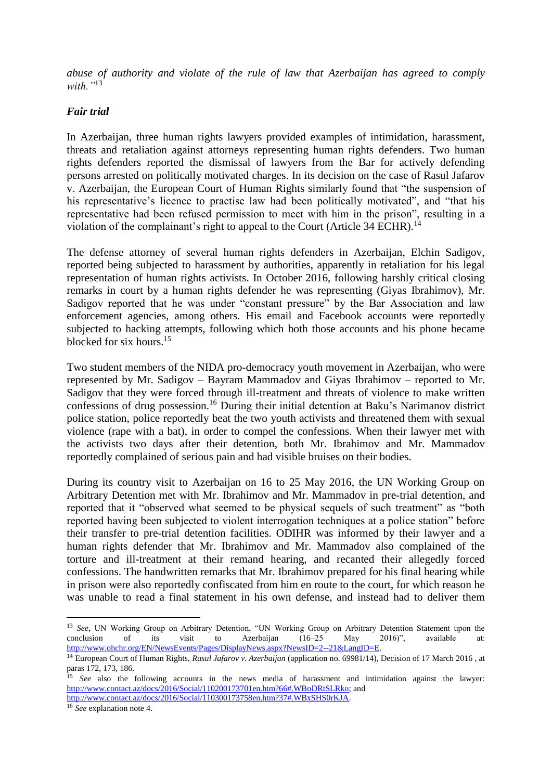*abuse of authority and violate of the rule of law that Azerbaijan has agreed to comply with."*<sup>13</sup>

#### *Fair trial*

In Azerbaijan, three human rights lawyers provided examples of intimidation, harassment, threats and retaliation against attorneys representing human rights defenders. Two human rights defenders reported the dismissal of lawyers from the Bar for actively defending persons arrested on politically motivated charges. In its decision on the case of Rasul Jafarov v. Azerbaijan, the European Court of Human Rights similarly found that "the suspension of his representative's licence to practise law had been politically motivated", and "that his representative had been refused permission to meet with him in the prison", resulting in a violation of the complainant's right to appeal to the Court (Article 34 ECHR).<sup>14</sup>

The defense attorney of several human rights defenders in Azerbaijan, Elchin Sadigov, reported being subjected to harassment by authorities, apparently in retaliation for his legal representation of human rights activists. In October 2016, following harshly critical closing remarks in court by a human rights defender he was representing (Giyas Ibrahimov), Mr. Sadigov reported that he was under "constant pressure" by the Bar Association and law enforcement agencies, among others. His email and Facebook accounts were reportedly subjected to hacking attempts, following which both those accounts and his phone became blocked for six hours.<sup>15</sup>

Two student members of the NIDA pro-democracy youth movement in Azerbaijan, who were represented by Mr. Sadigov – Bayram Mammadov and Giyas Ibrahimov – reported to Mr. Sadigov that they were forced through ill-treatment and threats of violence to make written confessions of drug possession.<sup>16</sup> During their initial detention at Baku's Narimanov district police station, police reportedly beat the two youth activists and threatened them with sexual violence (rape with a bat), in order to compel the confessions. When their lawyer met with the activists two days after their detention, both Mr. Ibrahimov and Mr. Mammadov reportedly complained of serious pain and had visible bruises on their bodies.

During its country visit to Azerbaijan on 16 to 25 May 2016, the UN Working Group on Arbitrary Detention met with Mr. Ibrahimov and Mr. Mammadov in pre-trial detention, and reported that it "observed what seemed to be physical sequels of such treatment" as "both reported having been subjected to violent interrogation techniques at a police station" before their transfer to pre-trial detention facilities. ODIHR was informed by their lawyer and a human rights defender that Mr. Ibrahimov and Mr. Mammadov also complained of the torture and ill-treatment at their remand hearing, and recanted their allegedly forced confessions. The handwritten remarks that Mr. Ibrahimov prepared for his final hearing while in prison were also reportedly confiscated from him en route to the court, for which reason he was unable to read a final statement in his own defense, and instead had to deliver them

[http://www.contact.az/docs/2016/Social/110300173758en.htm?37#.WBxSHS0rKJA.](http://www.contact.az/docs/2016/Social/110300173758en.htm?37#.WBxSHS0rKJA)

<sup>16</sup> *See* explanation note 4.

1

<sup>&</sup>lt;sup>13</sup> *See*, UN Working Group on Arbitrary Detention, "UN Working Group on Arbitrary Detention Statement upon the conclusion of its visit to Azerbaijan (16–25 May 2016)", available at: conclusion of its visit to Azerbaijan (16–25 May 2016)", available at: [http://www.ohchr.org/EN/NewsEvents/Pages/DisplayNews.aspx?NewsID=2--21&LangID=E.](http://www.ohchr.org/EN/NewsEvents/Pages/DisplayNews.aspx?NewsID=2--21&LangID=E)

<sup>14</sup> European Court of Human Rights, *Rasul Jafarov v. Azerbaijan* (application no. 69981/14), Decision of 17 March 2016 , at paras 172, 173, 186.

<sup>&</sup>lt;sup>15</sup> *See* also the following accounts in the news media of harassment and intimidation against the lawyer: [http://www.contact.az/docs/2016/Social/110200173701en.htm?66#.WBoDRtSLRko;](http://www.contact.az/docs/2016/Social/110200173701en.htm?66#.WBoDRtSLRko) and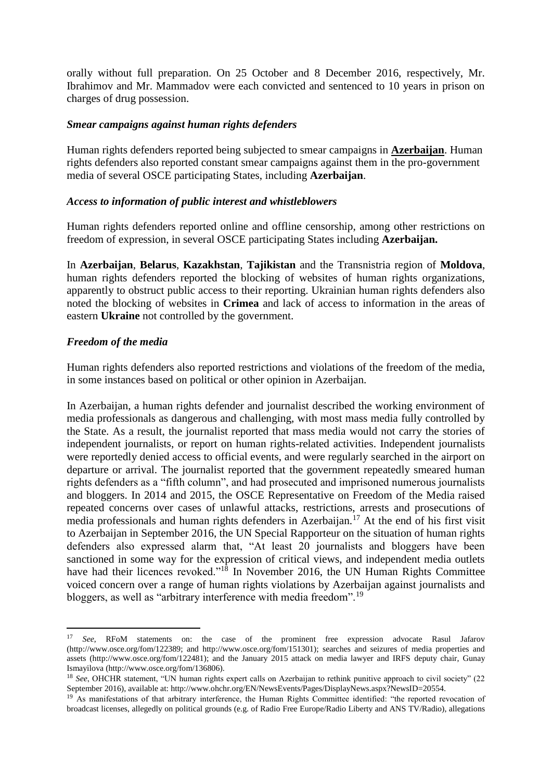orally without full preparation. On 25 October and 8 December 2016, respectively, Mr. Ibrahimov and Mr. Mammadov were each convicted and sentenced to 10 years in prison on charges of drug possession.

#### *Smear campaigns against human rights defenders*

Human rights defenders reported being subjected to smear campaigns in **Azerbaijan**. Human rights defenders also reported constant smear campaigns against them in the pro-government media of several OSCE participating States, including **Azerbaijan**.

#### *Access to information of public interest and whistleblowers*

Human rights defenders reported online and offline censorship, among other restrictions on freedom of expression, in several OSCE participating States including **Azerbaijan.**

In **Azerbaijan**, **Belarus**, **Kazakhstan**, **Tajikistan** and the Transnistria region of **Moldova**, human rights defenders reported the blocking of websites of human rights organizations, apparently to obstruct public access to their reporting. Ukrainian human rights defenders also noted the blocking of websites in **Crimea** and lack of access to information in the areas of eastern **Ukraine** not controlled by the government.

### *Freedom of the media*

1

Human rights defenders also reported restrictions and violations of the freedom of the media, in some instances based on political or other opinion in Azerbaijan.

In Azerbaijan, a human rights defender and journalist described the working environment of media professionals as dangerous and challenging, with most mass media fully controlled by the State. As a result, the journalist reported that mass media would not carry the stories of independent journalists, or report on human rights-related activities. Independent journalists were reportedly denied access to official events, and were regularly searched in the airport on departure or arrival. The journalist reported that the government repeatedly smeared human rights defenders as a "fifth column", and had prosecuted and imprisoned numerous journalists and bloggers. In 2014 and 2015, the OSCE Representative on Freedom of the Media raised repeated concerns over cases of unlawful attacks, restrictions, arrests and prosecutions of media professionals and human rights defenders in Azerbaijan.<sup>17</sup> At the end of his first visit to Azerbaijan in September 2016, the UN Special Rapporteur on the situation of human rights defenders also expressed alarm that, "At least 20 journalists and bloggers have been sanctioned in some way for the expression of critical views, and independent media outlets have had their licences revoked."<sup>18</sup> In November 2016, the UN Human Rights Committee voiced concern over a range of human rights violations by Azerbaijan against journalists and bloggers, as well as "arbitrary interference with media freedom".<sup>19</sup>

<sup>17</sup> *See*, RFoM statements on: the case of the prominent free expression advocate Rasul Jafarov (http://www.osce.org/fom/122389; and http://www.osce.org/fom/151301); searches and seizures of media properties and assets (http://www.osce.org/fom/122481); and the January 2015 attack on media lawyer and IRFS deputy chair, Gunay Ismayilova (http://www.osce.org/fom/136806).

<sup>&</sup>lt;sup>18</sup> See, OHCHR statement, "UN human rights expert calls on Azerbaijan to rethink punitive approach to civil society" (22 September 2016), available at: http://www.ohchr.org/EN/NewsEvents/Pages/DisplayNews.aspx?NewsID=20554.

<sup>&</sup>lt;sup>19</sup> As manifestations of that arbitrary interference, the Human Rights Committee identified: "the reported revocation of broadcast licenses, allegedly on political grounds (e.g. of Radio Free Europe/Radio Liberty and ANS TV/Radio), allegations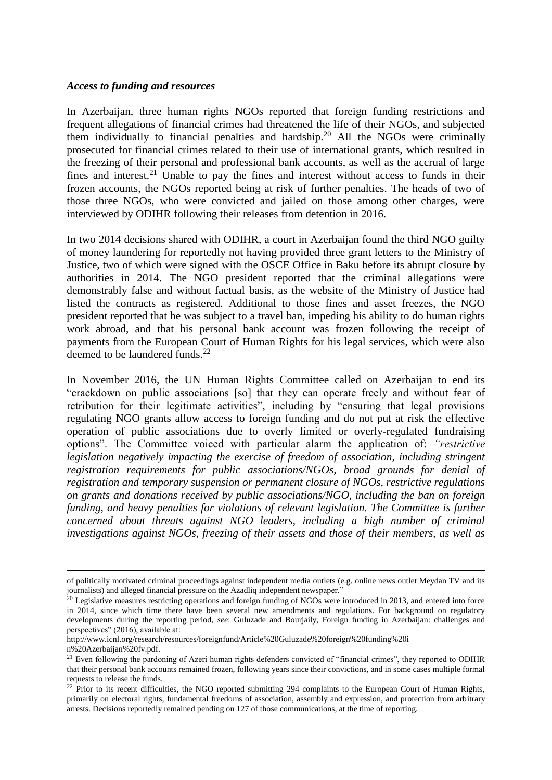#### *Access to funding and resources*

In Azerbaijan, three human rights NGOs reported that foreign funding restrictions and frequent allegations of financial crimes had threatened the life of their NGOs, and subjected them individually to financial penalties and hardship.<sup>20</sup> All the NGOs were criminally prosecuted for financial crimes related to their use of international grants, which resulted in the freezing of their personal and professional bank accounts, as well as the accrual of large fines and interest.<sup>21</sup> Unable to pay the fines and interest without access to funds in their frozen accounts, the NGOs reported being at risk of further penalties. The heads of two of those three NGOs, who were convicted and jailed on those among other charges, were interviewed by ODIHR following their releases from detention in 2016.

In two 2014 decisions shared with ODIHR, a court in Azerbaijan found the third NGO guilty of money laundering for reportedly not having provided three grant letters to the Ministry of Justice, two of which were signed with the OSCE Office in Baku before its abrupt closure by authorities in 2014. The NGO president reported that the criminal allegations were demonstrably false and without factual basis, as the website of the Ministry of Justice had listed the contracts as registered. Additional to those fines and asset freezes, the NGO president reported that he was subject to a travel ban, impeding his ability to do human rights work abroad, and that his personal bank account was frozen following the receipt of payments from the European Court of Human Rights for his legal services, which were also deemed to be laundered funds. $^{22}$ 

In November 2016, the UN Human Rights Committee called on Azerbaijan to end its "crackdown on public associations [so] that they can operate freely and without fear of retribution for their legitimate activities", including by "ensuring that legal provisions regulating NGO grants allow access to foreign funding and do not put at risk the effective operation of public associations due to overly limited or overly-regulated fundraising options". The Committee voiced with particular alarm the application of: *"restrictive legislation negatively impacting the exercise of freedom of association, including stringent registration requirements for public associations/NGOs, broad grounds for denial of registration and temporary suspension or permanent closure of NGOs, restrictive regulations on grants and donations received by public associations/NGO, including the ban on foreign funding, and heavy penalties for violations of relevant legislation. The Committee is further concerned about threats against NGO leaders, including a high number of criminal investigations against NGOs, freezing of their assets and those of their members, as well as* 

<u>.</u>

of politically motivated criminal proceedings against independent media outlets (e.g. online news outlet Meydan TV and its journalists) and alleged financial pressure on the Azadliq independent newspaper."

 $20$  Legislative measures restricting operations and foreign funding of NGOs were introduced in 2013, and entered into force in 2014, since which time there have been several new amendments and regulations. For background on regulatory developments during the reporting period, *see*: Guluzade and Bourjaily, Foreign funding in Azerbaijan: challenges and perspectives" (2016), available at:

http://www.icnl.org/research/resources/foreignfund/Article%20Guluzade%20foreign%20funding%20i

n%20Azerbaijan%20fv.pdf.

<sup>&</sup>lt;sup>21</sup> Even following the pardoning of Azeri human rights defenders convicted of "financial crimes", they reported to ODIHR that their personal bank accounts remained frozen, following years since their convictions, and in some cases multiple formal requests to release the funds.

 $22$  Prior to its recent difficulties, the NGO reported submitting 294 complaints to the European Court of Human Rights, primarily on electoral rights, fundamental freedoms of association, assembly and expression, and protection from arbitrary arrests. Decisions reportedly remained pending on 127 of those communications, at the time of reporting.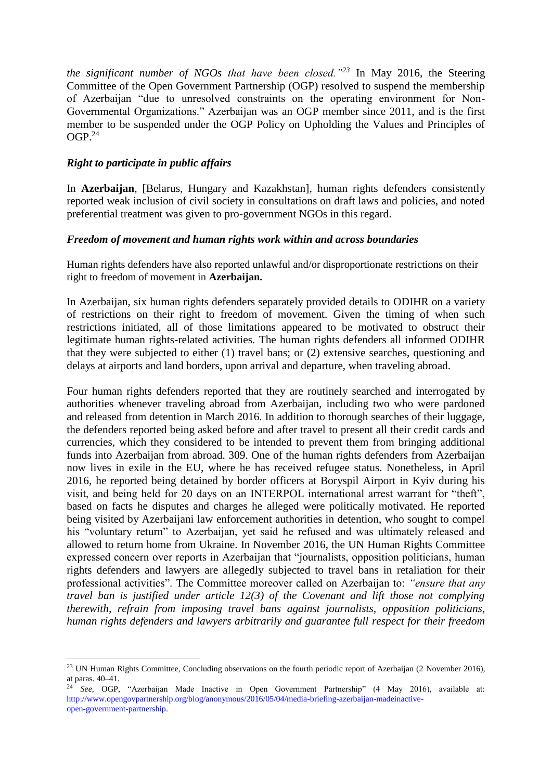*the significant number of NGOs that have been closed."<sup>23</sup>* In May 2016, the Steering Committee of the Open Government Partnership (OGP) resolved to suspend the membership of Azerbaijan "due to unresolved constraints on the operating environment for Non-Governmental Organizations." Azerbaijan was an OGP member since 2011, and is the first member to be suspended under the OGP Policy on Upholding the Values and Principles of  $OGP.<sup>24</sup>$ 

## *Right to participate in public affairs*

1

In **Azerbaijan**, [Belarus, Hungary and Kazakhstan], human rights defenders consistently reported weak inclusion of civil society in consultations on draft laws and policies, and noted preferential treatment was given to pro-government NGOs in this regard.

### *Freedom of movement and human rights work within and across boundaries*

Human rights defenders have also reported unlawful and/or disproportionate restrictions on their right to freedom of movement in **Azerbaijan.** 

In Azerbaijan, six human rights defenders separately provided details to ODIHR on a variety of restrictions on their right to freedom of movement. Given the timing of when such restrictions initiated, all of those limitations appeared to be motivated to obstruct their legitimate human rights-related activities. The human rights defenders all informed ODIHR that they were subjected to either (1) travel bans; or (2) extensive searches, questioning and delays at airports and land borders, upon arrival and departure, when traveling abroad.

Four human rights defenders reported that they are routinely searched and interrogated by authorities whenever traveling abroad from Azerbaijan, including two who were pardoned and released from detention in March 2016. In addition to thorough searches of their luggage, the defenders reported being asked before and after travel to present all their credit cards and currencies, which they considered to be intended to prevent them from bringing additional funds into Azerbaijan from abroad. 309. One of the human rights defenders from Azerbaijan now lives in exile in the EU, where he has received refugee status. Nonetheless, in April 2016, he reported being detained by border officers at Boryspil Airport in Kyiv during his visit, and being held for 20 days on an INTERPOL international arrest warrant for "theft", based on facts he disputes and charges he alleged were politically motivated. He reported being visited by Azerbaijani law enforcement authorities in detention, who sought to compel his "voluntary return" to Azerbaijan, yet said he refused and was ultimately released and allowed to return home from Ukraine. In November 2016, the UN Human Rights Committee expressed concern over reports in Azerbaijan that "journalists, opposition politicians, human rights defenders and lawyers are allegedly subjected to travel bans in retaliation for their professional activities". The Committee moreover called on Azerbaijan to: *"ensure that any travel ban is justified under article 12(3) of the Covenant and lift those not complying therewith, refrain from imposing travel bans against journalists, opposition politicians, human rights defenders and lawyers arbitrarily and guarantee full respect for their freedom* 

 $^{23}$  UN Human Rights Committee, Concluding observations on the fourth periodic report of Azerbaijan (2 November 2016), at paras. 40–41.

<sup>&</sup>lt;sup>24</sup> See, OGP, "Azerbaijan Made Inactive in Open Government Partnership" (4 May 2016), available at: http://www.opengovpartnership.org/blog/anonymous/2016/05/04/media-briefing-azerbaijan-madeinactiveopen-government-partnership.